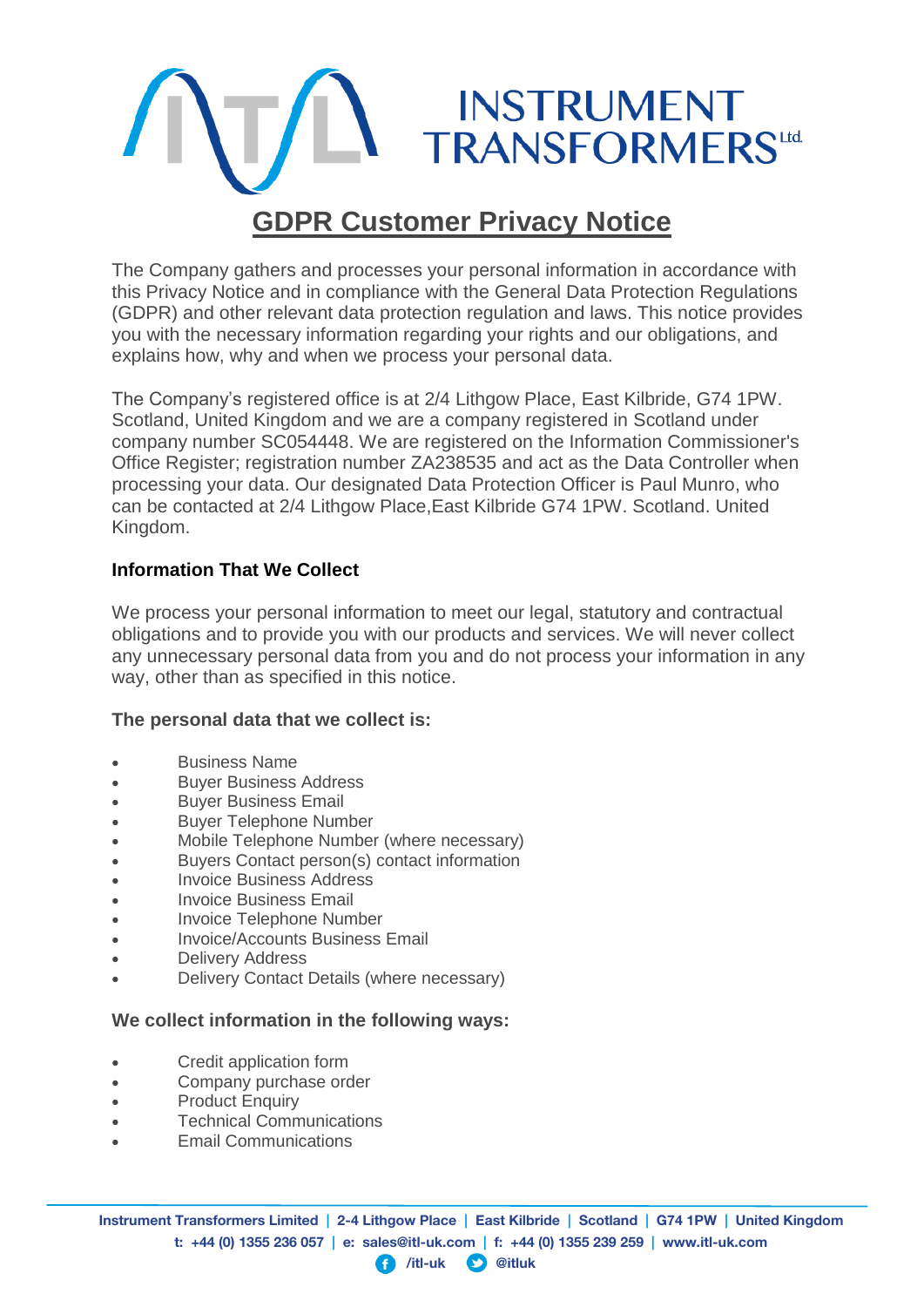

The Company gathers and processes your personal information in accordance with this Privacy Notice and in compliance with the General Data Protection Regulations (GDPR) and other relevant data protection regulation and laws. This notice provides you with the necessary information regarding your rights and our obligations, and explains how, why and when we process your personal data.

The Company's registered office is at 2/4 Lithgow Place, East Kilbride, G74 1PW. Scotland, United Kingdom and we are a company registered in Scotland under company number SC054448. We are registered on the Information Commissioner's Office Register; registration number ZA238535 and act as the Data Controller when processing your data. Our designated Data Protection Officer is Paul Munro, who can be contacted at 2/4 Lithgow Place,East Kilbride G74 1PW. Scotland. United Kingdom.

# **Information That We Collect**

We process your personal information to meet our legal, statutory and contractual obligations and to provide you with our products and services. We will never collect any unnecessary personal data from you and do not process your information in any way, other than as specified in this notice.

#### **The personal data that we collect is:**

- Business Name
- Buyer Business Address
- **•** Buyer Business Email
- Buyer Telephone Number
- Mobile Telephone Number (where necessary)
- Buyers Contact person(s) contact information
- **Invoice Business Address**
- **•** Invoice Business Email
- Invoice Telephone Number
- Invoice/Accounts Business Email
- Delivery Address
- Delivery Contact Details (where necessary)

#### **We collect information in the following ways:**

- Credit application form
- Company purchase order
- **Product Enquiry**
- Technical Communications
- Email Communications

#### **/itl-uk @itluk**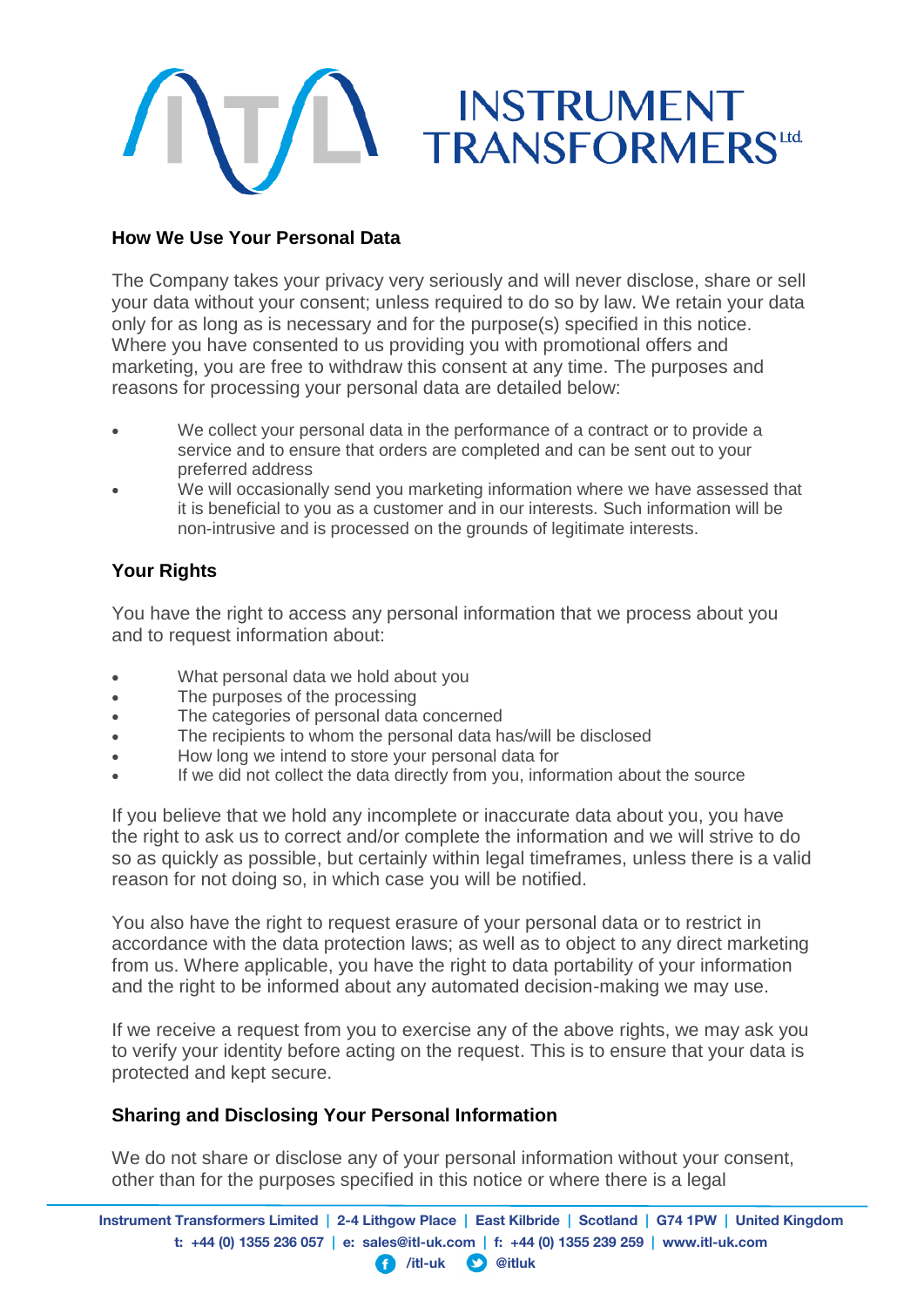

# **How We Use Your Personal Data**

The Company takes your privacy very seriously and will never disclose, share or sell your data without your consent; unless required to do so by law. We retain your data only for as long as is necessary and for the purpose(s) specified in this notice. Where you have consented to us providing you with promotional offers and marketing, you are free to withdraw this consent at any time. The purposes and reasons for processing your personal data are detailed below:

- We collect your personal data in the performance of a contract or to provide a service and to ensure that orders are completed and can be sent out to your preferred address
- We will occasionally send you marketing information where we have assessed that it is beneficial to you as a customer and in our interests. Such information will be non-intrusive and is processed on the grounds of legitimate interests.

# **Your Rights**

You have the right to access any personal information that we process about you and to request information about:

- What personal data we hold about you
- The purposes of the processing
- The categories of personal data concerned
- The recipients to whom the personal data has/will be disclosed
- How long we intend to store your personal data for
- If we did not collect the data directly from you, information about the source

If you believe that we hold any incomplete or inaccurate data about you, you have the right to ask us to correct and/or complete the information and we will strive to do so as quickly as possible, but certainly within legal timeframes, unless there is a valid reason for not doing so, in which case you will be notified.

You also have the right to request erasure of your personal data or to restrict in accordance with the data protection laws; as well as to object to any direct marketing from us. Where applicable, you have the right to data portability of your information and the right to be informed about any automated decision-making we may use.

If we receive a request from you to exercise any of the above rights, we may ask you to verify your identity before acting on the request. This is to ensure that your data is protected and kept secure.

# **Sharing and Disclosing Your Personal Information**

We do not share or disclose any of your personal information without your consent, other than for the purposes specified in this notice or where there is a legal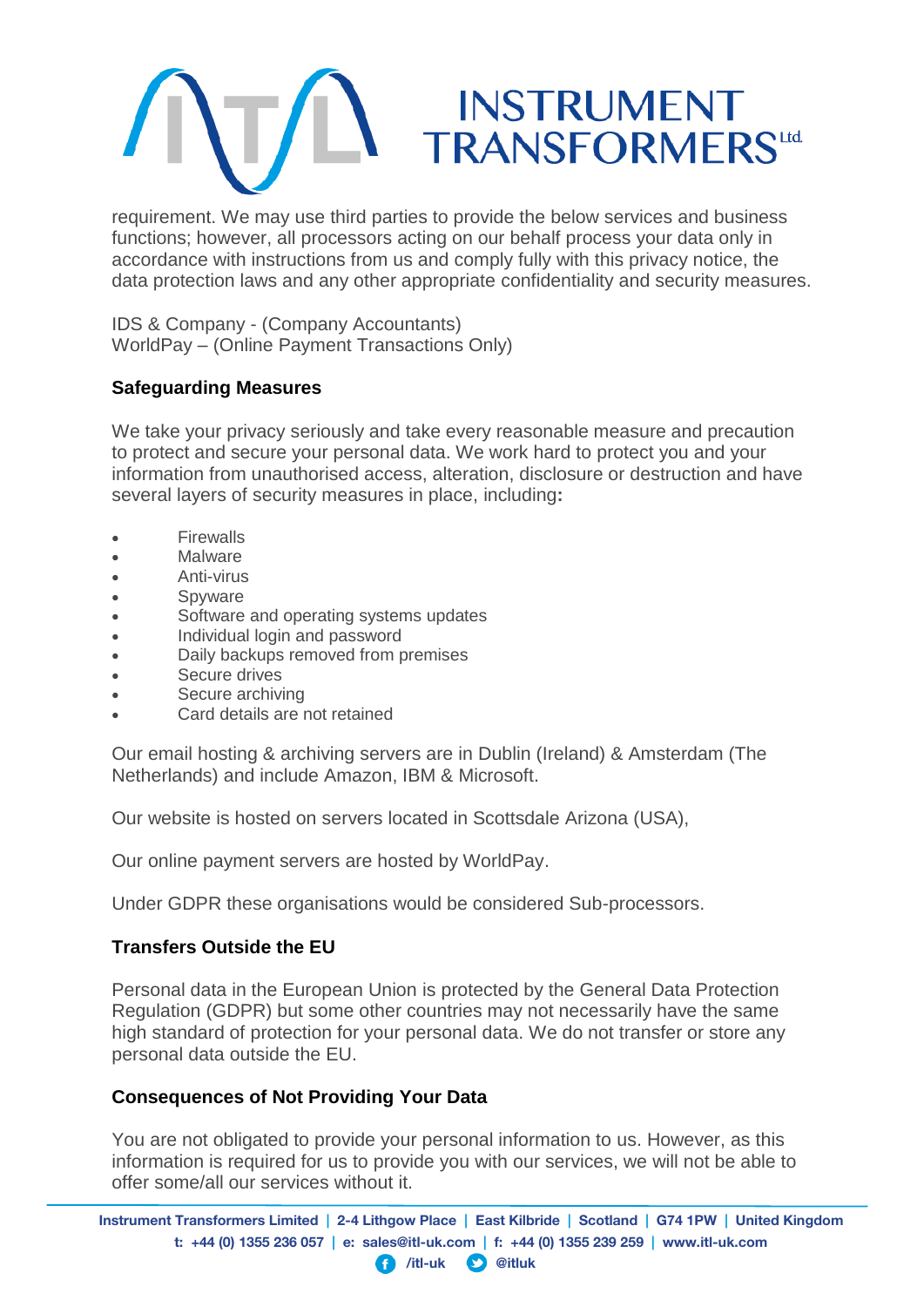

requirement. We may use third parties to provide the below services and business functions; however, all processors acting on our behalf process your data only in accordance with instructions from us and comply fully with this privacy notice, the data protection laws and any other appropriate confidentiality and security measures.

IDS & Company - (Company Accountants) WorldPay – (Online Payment Transactions Only)

# **Safeguarding Measures**

We take your privacy seriously and take every reasonable measure and precaution to protect and secure your personal data. We work hard to protect you and your information from unauthorised access, alteration, disclosure or destruction and have several layers of security measures in place, including**:**

- Firewalls
- Malware
- Anti-virus
- Spyware
- Software and operating systems updates
- Individual login and password
- Daily backups removed from premises
- Secure drives
- Secure archiving
- Card details are not retained

Our email hosting & archiving servers are in Dublin (Ireland) & Amsterdam (The Netherlands) and include Amazon, IBM & Microsoft.

Our website is hosted on servers located in Scottsdale Arizona (USA),

Our online payment servers are hosted by WorldPay.

Under GDPR these organisations would be considered Sub-processors.

#### **Transfers Outside the EU**

Personal data in the European Union is protected by the General Data Protection Regulation (GDPR) but some other countries may not necessarily have the same high standard of protection for your personal data. We do not transfer or store any personal data outside the EU.

# **Consequences of Not Providing Your Data**

You are not obligated to provide your personal information to us. However, as this information is required for us to provide you with our services, we will not be able to offer some/all our services without it.

**Instrument Transformers Limited | 2-4 Lithgow Place | East Kilbride | Scotland | G74 1PW | United Kingdom t: +44 (0) 1355 236 057 | e: sales@itl-uk.com | f: +44 (0) 1355 239 259 | www.itl-uk.com**

#### **/itl-uk @itluk**